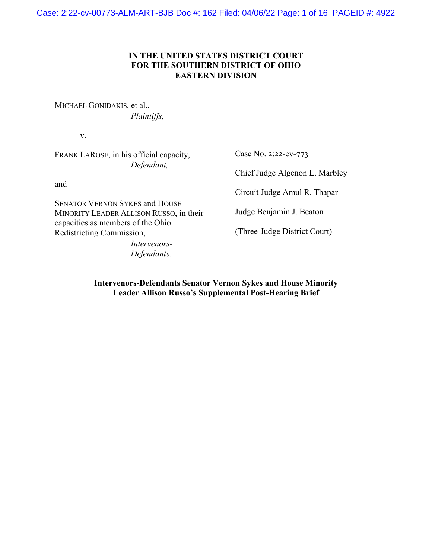Case: 2:22-cv-00773-ALM-ART-BJB Doc #: 162 Filed: 04/06/22 Page: 1 of 16 PAGEID #: 4922

## **IN THE UNITED STATES DISTRICT COURT FOR THE SOUTHERN DISTRICT OF OHIO EASTERN DIVISION**

MICHAEL GONIDAKIS, et al., *Plaintiffs*,

v.

FRANK LAROSE, in his official capacity, *Defendant,*

and

SENATOR VERNON SYKES and HOUSE MINORITY LEADER ALLISON RUSSO, in their capacities as members of the Ohio Redistricting Commission,

> *Intervenors-Defendants.*

Case No. 2:22-cv-773

Chief Judge Algenon L. Marbley

Circuit Judge Amul R. Thapar

Judge Benjamin J. Beaton

(Three-Judge District Court)

**Intervenors-Defendants Senator Vernon Sykes and House Minority Leader Allison Russo's Supplemental Post-Hearing Brief**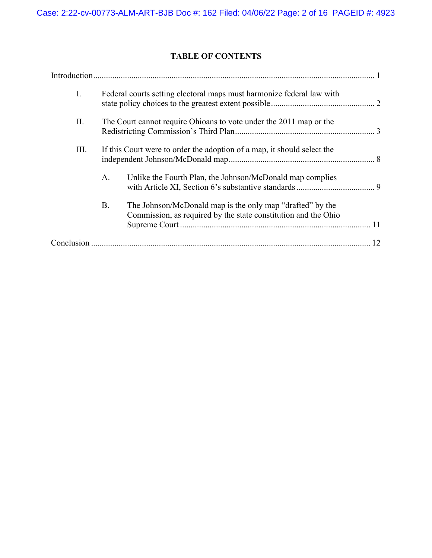# **TABLE OF CONTENTS**

| $\mathbf{I}$ . | Federal courts setting electoral maps must harmonize federal law with   |                                                                                                                             |    |
|----------------|-------------------------------------------------------------------------|-----------------------------------------------------------------------------------------------------------------------------|----|
| П.             | The Court cannot require Ohioans to vote under the 2011 map or the      |                                                                                                                             |    |
| Ш.             | If this Court were to order the adoption of a map, it should select the |                                                                                                                             |    |
|                | А.                                                                      | Unlike the Fourth Plan, the Johnson/McDonald map complies                                                                   |    |
|                | <b>B.</b>                                                               | The Johnson/McDonald map is the only map "drafted" by the<br>Commission, as required by the state constitution and the Ohio |    |
|                |                                                                         |                                                                                                                             | 12 |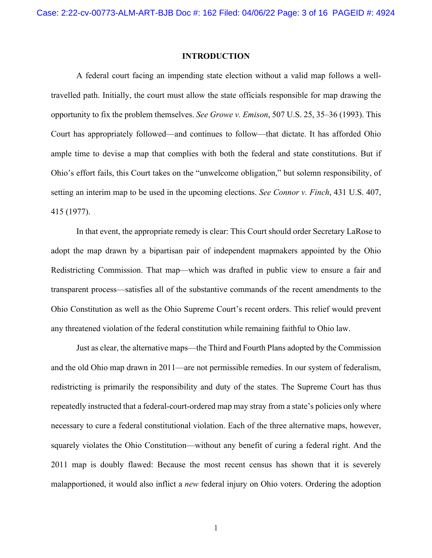#### **INTRODUCTION**

A federal court facing an impending state election without a valid map follows a welltravelled path. Initially, the court must allow the state officials responsible for map drawing the opportunity to fix the problem themselves. *See Growe v. Emison*, 507 U.S. 25, 35–36 (1993). This Court has appropriately followed—and continues to follow—that dictate. It has afforded Ohio ample time to devise a map that complies with both the federal and state constitutions. But if Ohio's effort fails, this Court takes on the "unwelcome obligation," but solemn responsibility, of setting an interim map to be used in the upcoming elections. *See Connor v. Finch*, 431 U.S. 407, 415 (1977).

In that event, the appropriate remedy is clear: This Court should order Secretary LaRose to adopt the map drawn by a bipartisan pair of independent mapmakers appointed by the Ohio Redistricting Commission. That map—which was drafted in public view to ensure a fair and transparent process—satisfies all of the substantive commands of the recent amendments to the Ohio Constitution as well as the Ohio Supreme Court's recent orders. This relief would prevent any threatened violation of the federal constitution while remaining faithful to Ohio law.

Just as clear, the alternative maps—the Third and Fourth Plans adopted by the Commission and the old Ohio map drawn in 2011—are not permissible remedies. In our system of federalism, redistricting is primarily the responsibility and duty of the states. The Supreme Court has thus repeatedly instructed that a federal-court-ordered map may stray from a state's policies only where necessary to cure a federal constitutional violation. Each of the three alternative maps, however, squarely violates the Ohio Constitution—without any benefit of curing a federal right. And the 2011 map is doubly flawed: Because the most recent census has shown that it is severely malapportioned, it would also inflict a *new* federal injury on Ohio voters. Ordering the adoption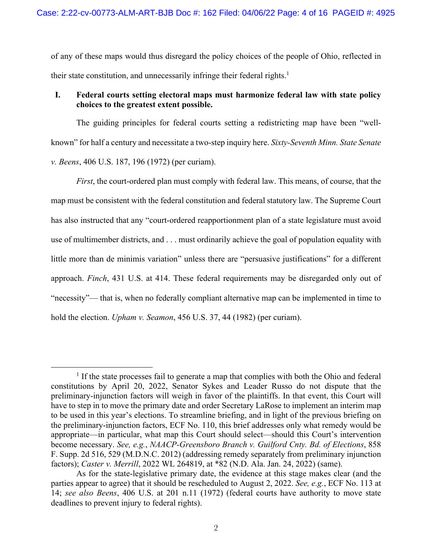of any of these maps would thus disregard the policy choices of the people of Ohio, reflected in their state constitution, and unnecessarily infringe their federal rights.<sup>1</sup>

## **I. Federal courts setting electoral maps must harmonize federal law with state policy choices to the greatest extent possible.**

The guiding principles for federal courts setting a redistricting map have been "wellknown" for half a century and necessitate a two-step inquiry here. *Sixty-Seventh Minn. State Senate v. Beens*, 406 U.S. 187, 196 (1972) (per curiam).

*First*, the court-ordered plan must comply with federal law. This means, of course, that the map must be consistent with the federal constitution and federal statutory law. The Supreme Court has also instructed that any "court-ordered reapportionment plan of a state legislature must avoid use of multimember districts, and . . . must ordinarily achieve the goal of population equality with little more than de minimis variation" unless there are "persuasive justifications" for a different approach. *Finch*, 431 U.S. at 414. These federal requirements may be disregarded only out of "necessity"— that is, when no federally compliant alternative map can be implemented in time to hold the election. *Upham v. Seamon*, 456 U.S. 37, 44 (1982) (per curiam).

 $<sup>1</sup>$  If the state processes fail to generate a map that complies with both the Ohio and federal</sup> constitutions by April 20, 2022, Senator Sykes and Leader Russo do not dispute that the preliminary-injunction factors will weigh in favor of the plaintiffs. In that event, this Court will have to step in to move the primary date and order Secretary LaRose to implement an interim map to be used in this year's elections. To streamline briefing, and in light of the previous briefing on the preliminary-injunction factors, ECF No. 110, this brief addresses only what remedy would be appropriate—in particular, what map this Court should select—should this Court's intervention become necessary. *See, e.g.*, *NAACP-Greensboro Branch v. Guilford Cnty. Bd. of Elections*, 858 F. Supp. 2d 516, 529 (M.D.N.C. 2012) (addressing remedy separately from preliminary injunction factors); *Caster v. Merrill*, 2022 WL 264819, at \*82 (N.D. Ala. Jan. 24, 2022) (same).

As for the state-legislative primary date, the evidence at this stage makes clear (and the parties appear to agree) that it should be rescheduled to August 2, 2022. *See, e.g.*, ECF No. 113 at 14; *see also Beens*, 406 U.S. at 201 n.11 (1972) (federal courts have authority to move state deadlines to prevent injury to federal rights).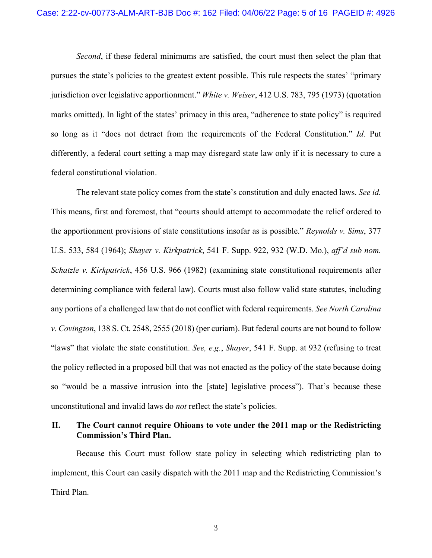*Second*, if these federal minimums are satisfied, the court must then select the plan that pursues the state's policies to the greatest extent possible. This rule respects the states' "primary jurisdiction over legislative apportionment." *White v. Weiser*, 412 U.S. 783, 795 (1973) (quotation marks omitted). In light of the states' primacy in this area, "adherence to state policy" is required so long as it "does not detract from the requirements of the Federal Constitution." *Id.* Put differently, a federal court setting a map may disregard state law only if it is necessary to cure a federal constitutional violation.

The relevant state policy comes from the state's constitution and duly enacted laws. *See id.* This means, first and foremost, that "courts should attempt to accommodate the relief ordered to the apportionment provisions of state constitutions insofar as is possible." *Reynolds v. Sims*, 377 U.S. 533, 584 (1964); *Shayer v. Kirkpatrick*, 541 F. Supp. 922, 932 (W.D. Mo.), *aff'd sub nom. Schatzle v. Kirkpatrick*, 456 U.S. 966 (1982) (examining state constitutional requirements after determining compliance with federal law). Courts must also follow valid state statutes, including any portions of a challenged law that do not conflict with federal requirements. *See North Carolina v. Covington*, 138 S. Ct. 2548, 2555 (2018) (per curiam). But federal courts are not bound to follow "laws" that violate the state constitution. *See, e.g.*, *Shayer*, 541 F. Supp. at 932 (refusing to treat the policy reflected in a proposed bill that was not enacted as the policy of the state because doing so "would be a massive intrusion into the [state] legislative process"). That's because these unconstitutional and invalid laws do *not* reflect the state's policies.

## **II. The Court cannot require Ohioans to vote under the 2011 map or the Redistricting Commission's Third Plan.**

Because this Court must follow state policy in selecting which redistricting plan to implement, this Court can easily dispatch with the 2011 map and the Redistricting Commission's Third Plan.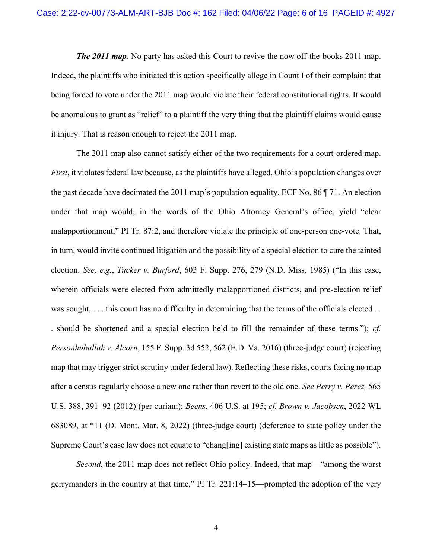*The 2011 map.* No party has asked this Court to revive the now off-the-books 2011 map. Indeed, the plaintiffs who initiated this action specifically allege in Count I of their complaint that being forced to vote under the 2011 map would violate their federal constitutional rights. It would be anomalous to grant as "relief" to a plaintiff the very thing that the plaintiff claims would cause it injury. That is reason enough to reject the 2011 map.

The 2011 map also cannot satisfy either of the two requirements for a court-ordered map. *First*, it violates federal law because, as the plaintiffs have alleged, Ohio's population changes over the past decade have decimated the 2011 map's population equality. ECF No. 86 ¶ 71. An election under that map would, in the words of the Ohio Attorney General's office, yield "clear malapportionment," PI Tr. 87:2, and therefore violate the principle of one-person one-vote. That, in turn, would invite continued litigation and the possibility of a special election to cure the tainted election. *See, e.g.*, *Tucker v. Burford*, 603 F. Supp. 276, 279 (N.D. Miss. 1985) ("In this case, wherein officials were elected from admittedly malapportioned districts, and pre-election relief was sought, ... this court has no difficulty in determining that the terms of the officials elected ... . should be shortened and a special election held to fill the remainder of these terms."); *cf. Personhuballah v. Alcorn*, 155 F. Supp. 3d 552, 562 (E.D. Va. 2016) (three-judge court) (rejecting map that may trigger strict scrutiny under federal law). Reflecting these risks, courts facing no map after a census regularly choose a new one rather than revert to the old one. *See Perry v. Perez,* 565 U.S. 388, 391–92 (2012) (per curiam); *Beens*, 406 U.S. at 195; *cf. Brown v. Jacobsen*, 2022 WL 683089, at \*11 (D. Mont. Mar. 8, 2022) (three-judge court) (deference to state policy under the Supreme Court's case law does not equate to "chang[ing] existing state maps as little as possible").

*Second*, the 2011 map does not reflect Ohio policy. Indeed, that map—"among the worst gerrymanders in the country at that time," PI Tr. 221:14–15—prompted the adoption of the very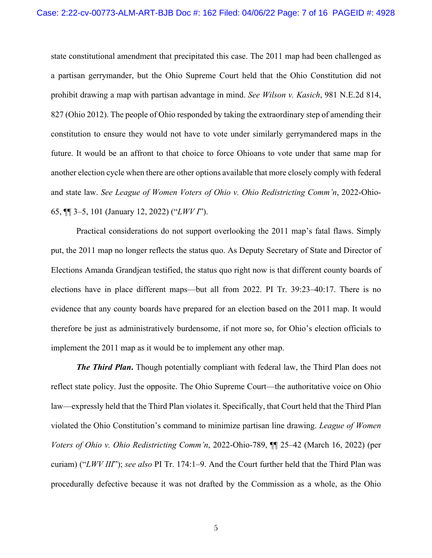state constitutional amendment that precipitated this case. The 2011 map had been challenged as a partisan gerrymander, but the Ohio Supreme Court held that the Ohio Constitution did not prohibit drawing a map with partisan advantage in mind. *See Wilson v. Kasich*, 981 N.E.2d 814, 827 (Ohio 2012). The people of Ohio responded by taking the extraordinary step of amending their constitution to ensure they would not have to vote under similarly gerrymandered maps in the future. It would be an affront to that choice to force Ohioans to vote under that same map for another election cycle when there are other options available that more closely comply with federal and state law. *See League of Women Voters of Ohio v. Ohio Redistricting Comm'n*, 2022-Ohio-65, ¶¶ 3–5, 101 (January 12, 2022) ("*LWV I*").

Practical considerations do not support overlooking the 2011 map's fatal flaws. Simply put, the 2011 map no longer reflects the status quo. As Deputy Secretary of State and Director of Elections Amanda Grandjean testified, the status quo right now is that different county boards of elections have in place different maps—but all from 2022. PI Tr. 39:23–40:17. There is no evidence that any county boards have prepared for an election based on the 2011 map. It would therefore be just as administratively burdensome, if not more so, for Ohio's election officials to implement the 2011 map as it would be to implement any other map.

*The Third Plan***.** Though potentially compliant with federal law, the Third Plan does not reflect state policy. Just the opposite. The Ohio Supreme Court—the authoritative voice on Ohio law—expressly held that the Third Plan violates it. Specifically, that Court held that the Third Plan violated the Ohio Constitution's command to minimize partisan line drawing. *League of Women Voters of Ohio v. Ohio Redistricting Comm'n*, 2022-Ohio-789, ¶¶ 25–42 (March 16, 2022) (per curiam) ("*LWV III*"); *see also* PI Tr. 174:1–9. And the Court further held that the Third Plan was procedurally defective because it was not drafted by the Commission as a whole, as the Ohio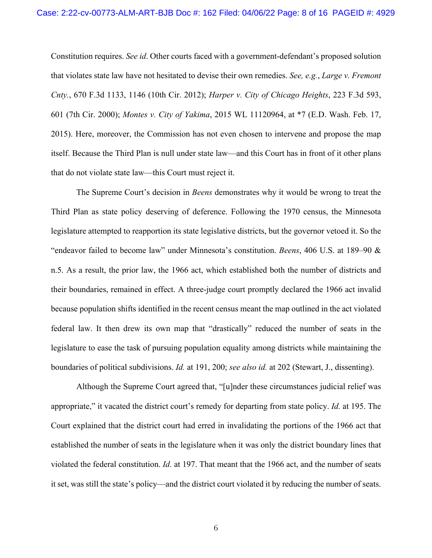Constitution requires. *See id*. Other courts faced with a government-defendant's proposed solution that violates state law have not hesitated to devise their own remedies. *See, e.g.*, *Large v. Fremont Cnty.*, 670 F.3d 1133, 1146 (10th Cir. 2012); *Harper v. City of Chicago Heights*, 223 F.3d 593, 601 (7th Cir. 2000); *Montes v. City of Yakima*, 2015 WL 11120964, at \*7 (E.D. Wash. Feb. 17, 2015). Here, moreover, the Commission has not even chosen to intervene and propose the map itself. Because the Third Plan is null under state law—and this Court has in front of it other plans that do not violate state law—this Court must reject it.

The Supreme Court's decision in *Beens* demonstrates why it would be wrong to treat the Third Plan as state policy deserving of deference. Following the 1970 census, the Minnesota legislature attempted to reapportion its state legislative districts, but the governor vetoed it. So the "endeavor failed to become law" under Minnesota's constitution. *Beens*, 406 U.S. at 189–90 & n.5. As a result, the prior law, the 1966 act, which established both the number of districts and their boundaries, remained in effect. A three-judge court promptly declared the 1966 act invalid because population shifts identified in the recent census meant the map outlined in the act violated federal law. It then drew its own map that "drastically" reduced the number of seats in the legislature to ease the task of pursuing population equality among districts while maintaining the boundaries of political subdivisions. *Id.* at 191, 200; *see also id.* at 202 (Stewart, J., dissenting).

Although the Supreme Court agreed that, "[u]nder these circumstances judicial relief was appropriate," it vacated the district court's remedy for departing from state policy. *Id.* at 195. The Court explained that the district court had erred in invalidating the portions of the 1966 act that established the number of seats in the legislature when it was only the district boundary lines that violated the federal constitution. *Id.* at 197. That meant that the 1966 act, and the number of seats it set, was still the state's policy—and the district court violated it by reducing the number of seats.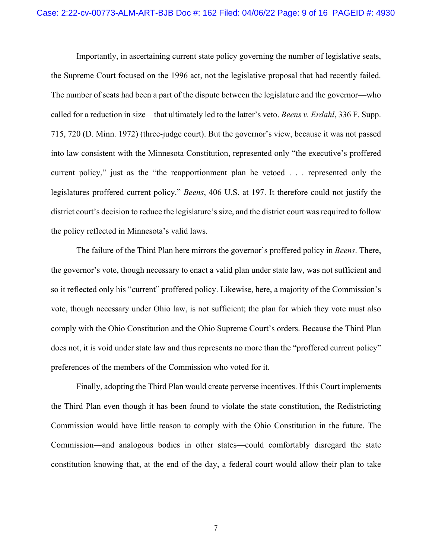Importantly, in ascertaining current state policy governing the number of legislative seats, the Supreme Court focused on the 1996 act, not the legislative proposal that had recently failed. The number of seats had been a part of the dispute between the legislature and the governor—who called for a reduction in size—that ultimately led to the latter's veto. *Beens v. Erdahl*, 336 F. Supp. 715, 720 (D. Minn. 1972) (three-judge court). But the governor's view, because it was not passed into law consistent with the Minnesota Constitution, represented only "the executive's proffered current policy," just as the "the reapportionment plan he vetoed . . . represented only the legislatures proffered current policy." *Beens*, 406 U.S. at 197. It therefore could not justify the district court's decision to reduce the legislature's size, and the district court was required to follow the policy reflected in Minnesota's valid laws.

The failure of the Third Plan here mirrors the governor's proffered policy in *Beens*. There, the governor's vote, though necessary to enact a valid plan under state law, was not sufficient and so it reflected only his "current" proffered policy. Likewise, here, a majority of the Commission's vote, though necessary under Ohio law, is not sufficient; the plan for which they vote must also comply with the Ohio Constitution and the Ohio Supreme Court's orders. Because the Third Plan does not, it is void under state law and thus represents no more than the "proffered current policy" preferences of the members of the Commission who voted for it.

Finally, adopting the Third Plan would create perverse incentives. If this Court implements the Third Plan even though it has been found to violate the state constitution, the Redistricting Commission would have little reason to comply with the Ohio Constitution in the future. The Commission—and analogous bodies in other states—could comfortably disregard the state constitution knowing that, at the end of the day, a federal court would allow their plan to take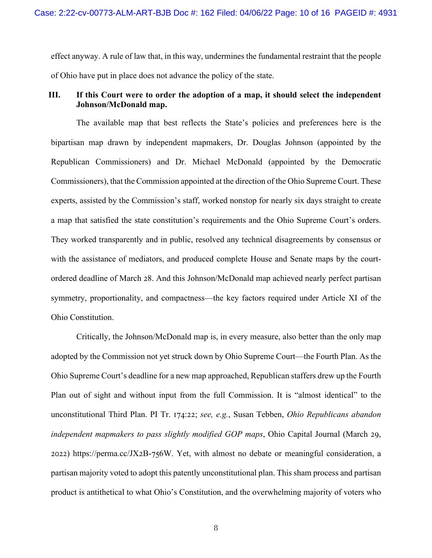effect anyway. A rule of law that, in this way, undermines the fundamental restraint that the people of Ohio have put in place does not advance the policy of the state.

## **III. If this Court were to order the adoption of a map, it should select the independent Johnson/McDonald map.**

The available map that best reflects the State's policies and preferences here is the bipartisan map drawn by independent mapmakers, Dr. Douglas Johnson (appointed by the Republican Commissioners) and Dr. Michael McDonald (appointed by the Democratic Commissioners), that the Commission appointed at the direction of the Ohio Supreme Court. These experts, assisted by the Commission's staff, worked nonstop for nearly six days straight to create a map that satisfied the state constitution's requirements and the Ohio Supreme Court's orders. They worked transparently and in public, resolved any technical disagreements by consensus or with the assistance of mediators, and produced complete House and Senate maps by the courtordered deadline of March 28. And this Johnson/McDonald map achieved nearly perfect partisan symmetry, proportionality, and compactness—the key factors required under Article XI of the Ohio Constitution.

Critically, the Johnson/McDonald map is, in every measure, also better than the only map adopted by the Commission not yet struck down by Ohio Supreme Court—the Fourth Plan. As the Ohio Supreme Court's deadline for a new map approached, Republican staffers drew up the Fourth Plan out of sight and without input from the full Commission. It is "almost identical" to the unconstitutional Third Plan. PI Tr. 174:22; *see, e.g.*, Susan Tebben, *Ohio Republicans abandon independent mapmakers to pass slightly modified GOP maps*, Ohio Capital Journal (March 29,  $2022$ ) https://perma.cc/JX2B-756W. Yet, with almost no debate or meaningful consideration, a partisan majority voted to adopt this patently unconstitutional plan. This sham process and partisan product is antithetical to what Ohio's Constitution, and the overwhelming majority of voters who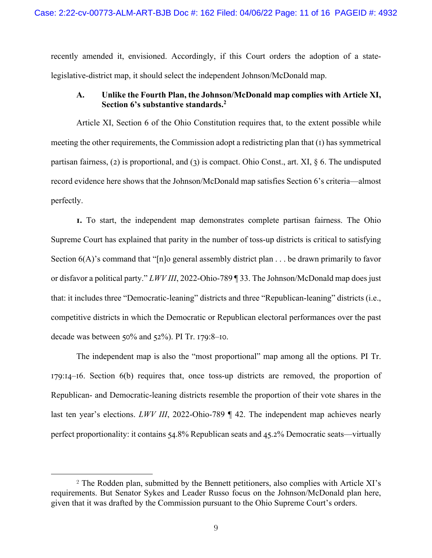recently amended it, envisioned. Accordingly, if this Court orders the adoption of a statelegislative-district map, it should select the independent Johnson/McDonald map.

#### **A. Unlike the Fourth Plan, the Johnson/McDonald map complies with Article XI, Section 6's substantive standards.2**

Article XI, Section 6 of the Ohio Constitution requires that, to the extent possible while meeting the other requirements, the Commission adopt a redistricting plan that  $(1)$  has symmetrical partisan fairness, (2) is proportional, and (3) is compact. Ohio Const., art. XI,  $\S$  6. The undisputed record evidence here shows that the Johnson/McDonald map satisfies Section 6's criteria—almost perfectly.

**I.** To start, the independent map demonstrates complete partisan fairness. The Ohio Supreme Court has explained that parity in the number of toss-up districts is critical to satisfying Section  $6(A)$ 's command that "[n]o general assembly district plan . . . be drawn primarily to favor or disfavor a political party." *LWV III*, 2022-Ohio-789 ¶ 33. The Johnson/McDonald map does just that: it includes three "Democratic-leaning" districts and three "Republican-leaning" districts (i.e., competitive districts in which the Democratic or Republican electoral performances over the past decade was between  $50\%$  and  $52\%$ ). PI Tr. 179:8–10.

The independent map is also the "most proportional" map among all the options. PI Tr.  $179:14-16$ . Section 6(b) requires that, once toss-up districts are removed, the proportion of Republican- and Democratic-leaning districts resemble the proportion of their vote shares in the last ten year's elections. *LWV III*, 2022-Ohio-789 ¶ 42. The independent map achieves nearly perfect proportionality: it contains  $54.8\%$  Republican seats and  $45.2\%$  Democratic seats—virtually

<sup>&</sup>lt;sup>2</sup> The Rodden plan, submitted by the Bennett petitioners, also complies with Article XI's requirements. But Senator Sykes and Leader Russo focus on the Johnson/McDonald plan here, given that it was drafted by the Commission pursuant to the Ohio Supreme Court's orders.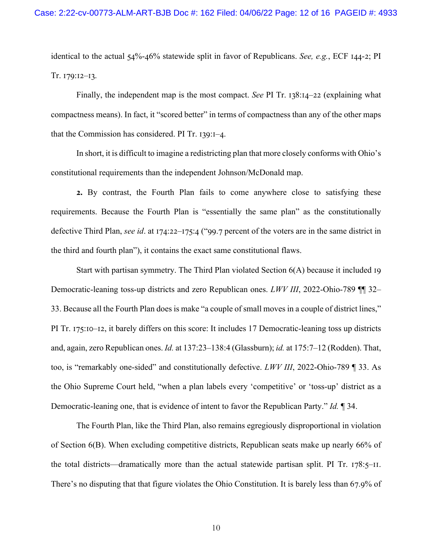identical to the actual  $54\% - 46\%$  statewide split in favor of Republicans. *See, e.g.*, ECF 144-2; PI Tr.  $I79:I2-I3$ .

Finally, the independent map is the most compact. *See* PI Tr. 138:14–22 (explaining what compactness means). In fact, it "scored better" in terms of compactness than any of the other maps that the Commission has considered. PI Tr.  $139:1-4$ .

In short, it is difficult to imagine a redistricting plan that more closely conforms with Ohio's constitutional requirements than the independent Johnson/McDonald map.

**Y.** By contrast, the Fourth Plan fails to come anywhere close to satisfying these requirements. Because the Fourth Plan is "essentially the same plan" as the constitutionally defective Third Plan, *see id*. at 174:22–175:4 ("99.7 percent of the voters are in the same district in the third and fourth plan"), it contains the exact same constitutional flaws.

Start with partisan symmetry. The Third Plan violated Section  $6(A)$  because it included 19 Democratic-leaning toss-up districts and zero Republican ones. *LWV III*, 2022-Ohio-789 ¶¶ 32– 33. Because all the Fourth Plan does is make "a couple of small moves in a couple of district lines," PI Tr. 175:10–12, it barely differs on this score: It includes 17 Democratic-leaning toss up districts and, again, zero Republican ones. *Id.* at 137:23–138:4 (Glassburn); *id.* at 175:7–12 (Rodden). That, too, is "remarkably one-sided" and constitutionally defective. *LWV III*, 2022-Ohio-789 ¶ 33. As the Ohio Supreme Court held, "when a plan labels every 'competitive' or 'toss-up' district as a Democratic-leaning one, that is evidence of intent to favor the Republican Party." *Id.* ¶ 34.

The Fourth Plan, like the Third Plan, also remains egregiously disproportional in violation of Section  $6(B)$ . When excluding competitive districts, Republican seats make up nearly 66% of the total districts—dramatically more than the actual statewide partisan split. PI Tr.  $178:5$ –II. There's no disputing that that figure violates the Ohio Constitution. It is barely less than 67.9% of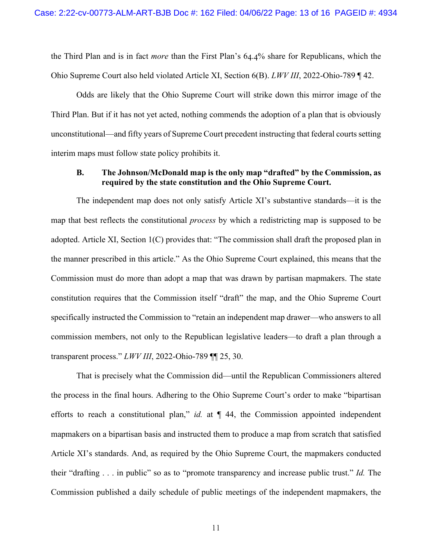the Third Plan and is in fact *more* than the First Plan's 64.4% share for Republicans, which the Ohio Supreme Court also held violated Article XI, Section 6(B). *LWV III*, 2022-Ohio-789 ¶ 42.

Odds are likely that the Ohio Supreme Court will strike down this mirror image of the Third Plan. But if it has not yet acted, nothing commends the adoption of a plan that is obviously unconstitutional—and fifty years of Supreme Court precedent instructing that federal courts setting interim maps must follow state policy prohibits it.

#### **B. The Johnson/McDonald map is the only map "drafted" by the Commission, as required by the state constitution and the Ohio Supreme Court.**

The independent map does not only satisfy Article XI's substantive standards—it is the map that best reflects the constitutional *process* by which a redistricting map is supposed to be adopted. Article XI, Section 1(C) provides that: "The commission shall draft the proposed plan in the manner prescribed in this article." As the Ohio Supreme Court explained, this means that the Commission must do more than adopt a map that was drawn by partisan mapmakers. The state constitution requires that the Commission itself "draft" the map, and the Ohio Supreme Court specifically instructed the Commission to "retain an independent map drawer—who answers to all commission members, not only to the Republican legislative leaders—to draft a plan through a transparent process." *LWV III*, 2022-Ohio-789 ¶¶ 25, 30.

That is precisely what the Commission did—until the Republican Commissioners altered the process in the final hours. Adhering to the Ohio Supreme Court's order to make "bipartisan efforts to reach a constitutional plan," *id.* at  $\P$  44, the Commission appointed independent mapmakers on a bipartisan basis and instructed them to produce a map from scratch that satisfied Article XI's standards. And, as required by the Ohio Supreme Court, the mapmakers conducted their "drafting . . . in public" so as to "promote transparency and increase public trust." *Id.* The Commission published a daily schedule of public meetings of the independent mapmakers, the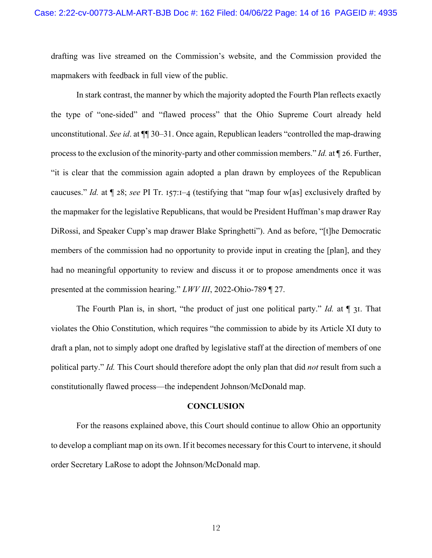drafting was live streamed on the Commission's website, and the Commission provided the mapmakers with feedback in full view of the public.

In stark contrast, the manner by which the majority adopted the Fourth Plan reflects exactly the type of "one-sided" and "flawed process" that the Ohio Supreme Court already held unconstitutional. *See id*. at ¶¶ 30–31. Once again, Republican leaders "controlled the map-drawing process to the exclusion of the minority-party and other commission members." *Id.* at  $\P$  26. Further, "it is clear that the commission again adopted a plan drawn by employees of the Republican caucuses." *Id.* at  $\llbracket 28$ ; *see* PI Tr. 157:1–4 (testifying that "map four w[as] exclusively drafted by the mapmaker for the legislative Republicans, that would be President Huffman's map drawer Ray DiRossi, and Speaker Cupp's map drawer Blake Springhetti"). And as before, "[t]he Democratic members of the commission had no opportunity to provide input in creating the [plan], and they had no meaningful opportunity to review and discuss it or to propose amendments once it was presented at the commission hearing." *LWV III*, 2022-Ohio-789 ¶ 27.

The Fourth Plan is, in short, "the product of just one political party." *Id.* at  $\P$  31. That violates the Ohio Constitution, which requires "the commission to abide by its Article XI duty to draft a plan, not to simply adopt one drafted by legislative staff at the direction of members of one political party." *Id.* This Court should therefore adopt the only plan that did *not* result from such a constitutionally flawed process—the independent Johnson/McDonald map.

#### **CONCLUSION**

For the reasons explained above, this Court should continue to allow Ohio an opportunity to develop a compliant map on its own. If it becomes necessary for this Court to intervene, it should order Secretary LaRose to adopt the Johnson/McDonald map.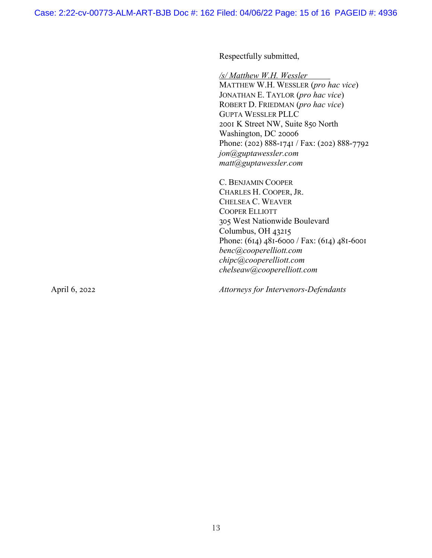Respectfully submitted,

*/s/ Matthew W.H. Wessler*

MATTHEW W.H. WESSLER (*pro hac vice*) JONATHAN E. TAYLOR (*pro hac vice*) ROBERT D. FRIEDMAN (*pro hac vice*) GUPTA WESSLER PLLC 2001 K Street NW, Suite 850 North Washington, DC 20006 Phone: (202)  $888-1741 / Fax$ : (202)  $888-7792$ *jon@guptawessler.com matt@guptawessler.com*

C. BENJAMIN COOPER CHARLES H. COOPER, JR. CHELSEA C. WEAVER COOPER ELLIOTT 305 West Nationwide Boulevard Columbus, OH  $43215$ Phone:  $(614)$  481-6000 / Fax:  $(614)$  481-6001 *benc@cooperelliott.com chipc@cooperelliott.com chelseaw@cooperelliott.com*

April 6, 2022 *Attorneys for Intervenors-Defendants*